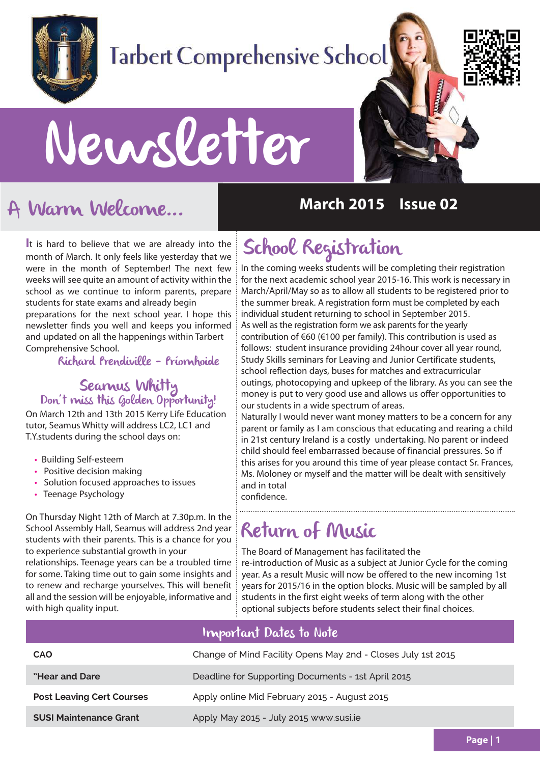

# **Tarbert Comprehensive School**



# Newsletter

## A Warm Welcome...

**I**t is hard to believe that we are already into the month of March. It only feels like yesterday that we were in the month of September! The next few weeks will see quite an amount of activity within the school as we continue to inform parents, prepare students for state exams and already begin

preparations for the next school year. I hope this newsletter finds you well and keeps you informed and updated on all the happenings within Tarbert Comprehensive School.

Richard Prendiville - Príomhoide

#### Seamus Whitty Don't miss this Golden Opportunity!

On March 12th and 13th 2015 Kerry Life Education tutor, Seamus Whitty will address LC2, LC1 and T.Y.students during the school days on:

- Building Self-esteem
- Positive decision making
- Solution focused approaches to issues
- Teenage Psychology

On Thursday Night 12th of March at 7.30p.m. In the School Assembly Hall, Seamus will address 2nd year students with their parents. This is a chance for you to experience substantial growth in your

relationships. Teenage years can be a troubled time for some. Taking time out to gain some insights and to renew and recharge yourselves. This will benefit all and the session will be enjoyable, informative and with high quality input.

#### **March 2015 Issue 02**

## School Registration

In the coming weeks students will be completing their registration for the next academic school year 2015-16. This work is necessary in March/April/May so as to allow all students to be registered prior to the summer break. A registration form must be completed by each individual student returning to school in September 2015. As well as the registration form we ask parents for the yearly contribution of €60 (€100 per family). This contribution is used as follows: student insurance providing 24hour cover all year round, Study Skills seminars for Leaving and Junior Certificate students, school reflection days, buses for matches and extracurricular outings, photocopying and upkeep of the library. As you can see the money is put to very good use and allows us offer opportunities to our students in a wide spectrum of areas.

Naturally I would never want money matters to be a concern for any parent or family as I am conscious that educating and rearing a child in 21st century Ireland is a costly undertaking. No parent or indeed child should feel embarrassed because of financial pressures. So if this arises for you around this time of year please contact Sr. Frances, Ms. Moloney or myself and the matter will be dealt with sensitively and in total confidence.

#### 

#### Return of Music

The Board of Management has facilitated the re-introduction of Music as a subject at Junior Cycle for the coming year. As a result Music will now be offered to the new incoming 1st years for 2015/16 in the option blocks. Music will be sampled by all students in the first eight weeks of term along with the other optional subjects before students select their final choices.

#### Important Dates to Note

| <b>CAO</b>                       | Change of Mind Facility Opens May 2nd - Closes July 1st 2015 |
|----------------------------------|--------------------------------------------------------------|
| "Hear and Dare"                  | Deadline for Supporting Documents - 1st April 2015           |
| <b>Post Leaving Cert Courses</b> | Apply online Mid February 2015 - August 2015                 |
| <b>SUSI Maintenance Grant</b>    | Apply May 2015 - July 2015 www.susi.ie                       |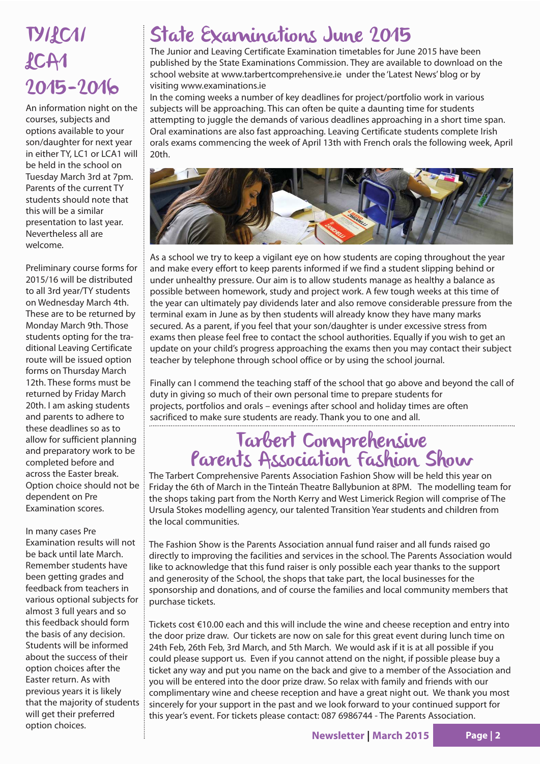## **TYILC11**  $ACA1$ 2015-2016

An information night on the courses, subjects and options available to your son/daughter for next year in either TY, LC1 or LCA1 will be held in the school on Tuesday March 3rd at 7pm. Parents of the current TY students should note that this will be a similar presentation to last year. Nevertheless all are welcome.

Preliminary course forms for 2015/16 will be distributed to all 3rd year/TY students on Wednesday March 4th. These are to be returned by Monday March 9th. Those students opting for the traditional Leaving Certificate route will be issued option forms on Thursday March 12th. These forms must be returned by Friday March 20th. I am asking students and parents to adhere to these deadlines so as to allow for sufficient planning and preparatory work to be completed before and across the Easter break. Option choice should not be dependent on Pre Examination scores.

#### In many cases Pre

Examination results will not be back until late March. Remember students have been getting grades and feedback from teachers in various optional subjects for almost 3 full years and so this feedback should form the basis of any decision. Students will be informed about the success of their option choices after the Easter return. As with previous years it is likely that the majority of students will get their preferred option choices.

#### State Examinations June 2015

The Junior and Leaving Certificate Examination timetables for June 2015 have been published by the State Examinations Commission. They are available to download on the school website at www.tarbertcomprehensive.ie under the 'Latest News' blog or by visiting www.examinations.ie

In the coming weeks a number of key deadlines for project/portfolio work in various subjects will be approaching. This can often be quite a daunting time for students attempting to juggle the demands of various deadlines approaching in a short time span. Oral examinations are also fast approaching. Leaving Certificate students complete Irish orals exams commencing the week of April 13th with French orals the following week, April 20th.



As a school we try to keep a vigilant eye on how students are coping throughout the year and make every effort to keep parents informed if we find a student slipping behind or under unhealthy pressure. Our aim is to allow students manage as healthy a balance as possible between homework, study and project work. A few tough weeks at this time of the year can ultimately pay dividends later and also remove considerable pressure from the terminal exam in June as by then students will already know they have many marks secured. As a parent, if you feel that your son/daughter is under excessive stress from exams then please feel free to contact the school authorities. Equally if you wish to get an update on your child's progress approaching the exams then you may contact their subject teacher by telephone through school office or by using the school journal.

Finally can I commend the teaching staff of the school that go above and beyond the call of duty in giving so much of their own personal time to prepare students for projects, portfolios and orals – evenings after school and holiday times are often sacrificed to make sure students are ready. Thank you to one and all.

#### Tarbert Comprehensive Parents Association Fashion Show

The Tarbert Comprehensive Parents Association Fashion Show will be held this year on Friday the 6th of March in the Tinteán Theatre Ballybunion at 8PM. The modelling team for the shops taking part from the North Kerry and West Limerick Region will comprise of The Ursula Stokes modelling agency, our talented Transition Year students and children from the local communities.

The Fashion Show is the Parents Association annual fund raiser and all funds raised go directly to improving the facilities and services in the school. The Parents Association would like to acknowledge that this fund raiser is only possible each year thanks to the support and generosity of the School, the shops that take part, the local businesses for the sponsorship and donations, and of course the families and local community members that purchase tickets.

Tickets cost €10.00 each and this will include the wine and cheese reception and entry into the door prize draw. Our tickets are now on sale for this great event during lunch time on 24th Feb, 26th Feb, 3rd March, and 5th March. We would ask if it is at all possible if you could please support us. Even if you cannot attend on the night, if possible please buy a ticket any way and put you name on the back and give to a member of the Association and you will be entered into the door prize draw. So relax with family and friends with our complimentary wine and cheese reception and have a great night out. We thank you most sincerely for your support in the past and we look forward to your continued support for this year's event. For tickets please contact: 087 6986744 - The Parents Association.

**Newsletter | March 2015 Page | 2**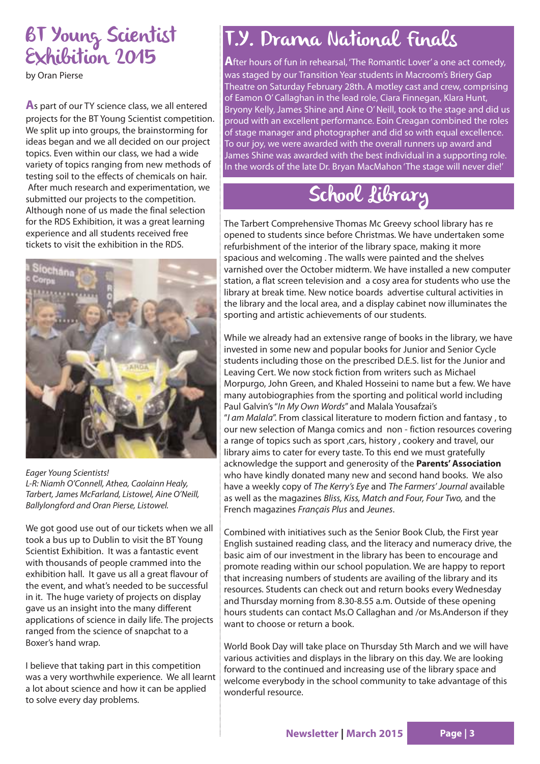## BT Young Scientist Exhibition 2015

by Oran Pierse

**A**s part of our TY science class, we all entered projects for the BT Young Scientist competition. We split up into groups, the brainstorming for ideas began and we all decided on our project topics. Even within our class, we had a wide variety of topics ranging from new methods of testing soil to the effects of chemicals on hair. After much research and experimentation, we submitted our projects to the competition. Although none of us made the final selection for the RDS Exhibition, it was a great learning experience and all students received free tickets to visit the exhibition in the RDS.



Eager Young Scientists! L-R: Niamh O'Connell, Athea, Caolainn Healy, Tarbert, James McFarland, Listowel, Aine O'Neill, Ballylongford and Oran Pierse, Listowel.

We got good use out of our tickets when we all took a bus up to Dublin to visit the BT Young Scientist Exhibition. It was a fantastic event with thousands of people crammed into the exhibition hall. It gave us all a great flavour of the event, and what's needed to be successful in it. The huge variety of projects on display gave us an insight into the many different applications of science in daily life. The projects ranged from the science of snapchat to a Boxer's hand wrap.

I believe that taking part in this competition was a very worthwhile experience. We all learnt a lot about science and how it can be applied to solve every day problems.

### T.Y. Drama National Finals

**A**fter hours of fun in rehearsal, 'The Romantic Lover' a one act comedy, was staged by our Transition Year students in Macroom's Briery Gap Theatre on Saturday February 28th. A motley cast and crew, comprising of Eamon O' Callaghan in the lead role, Ciara Finnegan, Klara Hunt, Bryony Kelly, James Shine and Aine O' Neill, took to the stage and did us proud with an excellent performance. Eoin Creagan combined the roles of stage manager and photographer and did so with equal excellence. To our joy, we were awarded with the overall runners up award and James Shine was awarded with the best individual in a supporting role. In the words of the late Dr. Bryan MacMahon 'The stage will never die!'

## School Library

The Tarbert Comprehensive Thomas Mc Greevy school library has re opened to students since before Christmas. We have undertaken some refurbishment of the interior of the library space, making it more spacious and welcoming . The walls were painted and the shelves varnished over the October midterm. We have installed a new computer station, a flat screen television and a cosy area for students who use the library at break time. New notice boards advertise cultural activities in the library and the local area, and a display cabinet now illuminates the sporting and artistic achievements of our students.

While we already had an extensive range of books in the library, we have invested in some new and popular books for Junior and Senior Cycle students including those on the prescribed D.E.S. list for the Junior and Leaving Cert. We now stock fiction from writers such as Michael Morpurgo, John Green, and Khaled Hosseini to name but a few. We have many autobiographies from the sporting and political world including Paul Galvin's "In My Own Words" and Malala Yousafzai's "I am Malala". From classical literature to modern fiction and fantasy , to our new selection of Manga comics and non - fiction resources covering a range of topics such as sport , cars, history , cookery and travel, our library aims to cater for every taste. To this end we must gratefully acknowledge the support and generosity of the **Parents' Association** who have kindly donated many new and second hand books. We also have a weekly copy of The Kerry's Eye and The Farmers' Journal available as well as the magazines Bliss, Kiss, Match and Four, Four Two, and the French magazines Français Plus and Jeunes.

Combined with initiatives such as the Senior Book Club, the First year English sustained reading class, and the literacy and numeracy drive, the basic aim of our investment in the library has been to encourage and promote reading within our school population. We are happy to report that increasing numbers of students are availing of the library and its resources. Students can check out and return books every Wednesday and Thursday morning from 8.30-8.55 a.m. Outside of these opening hours students can contact Ms.O Callaghan and /or Ms.Anderson if they want to choose or return a book.

World Book Day will take place on Thursday 5th March and we will have various activities and displays in the library on this day. We are looking forward to the continued and increasing use of the library space and welcome everybody in the school community to take advantage of this wonderful resource.